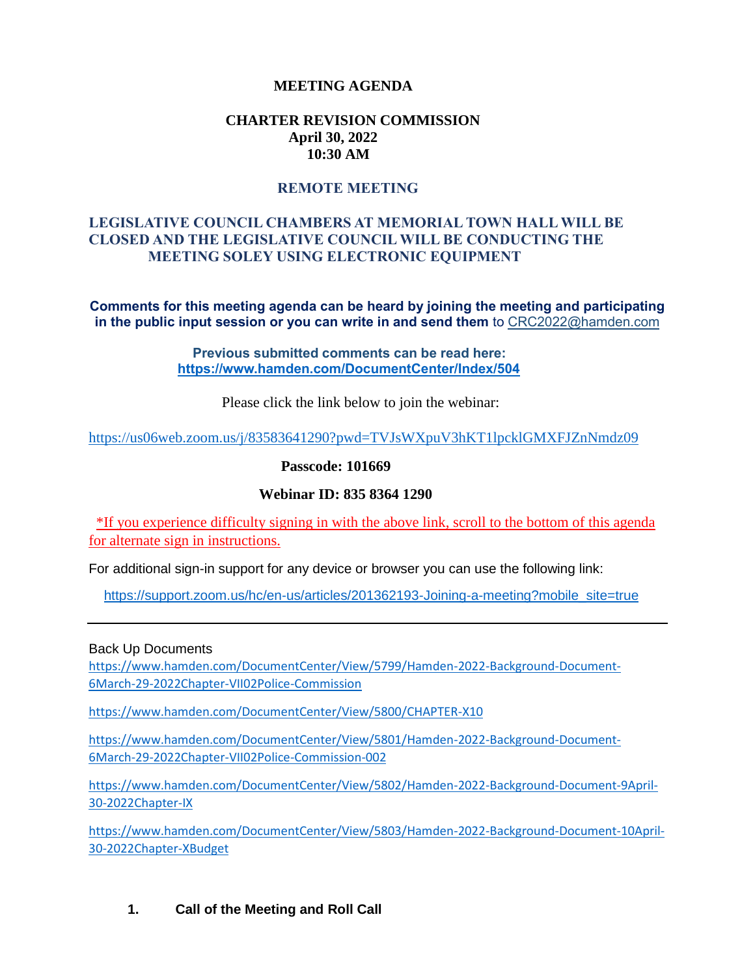### **MEETING AGENDA**

### **CHARTER REVISION COMMISSION April 30, 2022 10:30 AM**

#### **REMOTE MEETING**

# **LEGISLATIVE COUNCIL CHAMBERS AT MEMORIAL TOWN HALL WILL BE CLOSED AND THE LEGISLATIVE COUNCIL WILL BE CONDUCTING THE MEETING SOLEY USING ELECTRONIC EQUIPMENT**

**Comments for this meeting agenda can be heard by joining the meeting and participating in the public input session or you can write in and send them** to CRC2022@hamden.com

> **Previous submitted comments can be read here: <https://www.hamden.com/DocumentCenter/Index/504>**

> > Please click the link below to join the webinar:

<https://us06web.zoom.us/j/83583641290?pwd=TVJsWXpuV3hKT1lpcklGMXFJZnNmdz09>

**Passcode: 101669**

#### **Webinar ID: 835 8364 1290**

\*If you experience difficulty signing in with the above link, scroll to the bottom of this agenda for alternate sign in instructions.

For additional sign-in support for any device or browser you can use the following link:

[https://support.zoom.us/hc/en-us/articles/201362193-Joining-a-meeting?mobile\\_site=true](https://support.zoom.us/hc/en-us/articles/201362193-Joining-a-meeting?mobile_site=true)

Back Up Documents

[https://www.hamden.com/DocumentCenter/View/5799/Hamden-2022-Background-Document-](https://www.hamden.com/DocumentCenter/View/5799/Hamden-2022-Background-Document-6March-29-2022Chapter-VII02Police-Commission)[6March-29-2022Chapter-VII02Police-Commission](https://www.hamden.com/DocumentCenter/View/5799/Hamden-2022-Background-Document-6March-29-2022Chapter-VII02Police-Commission)

<https://www.hamden.com/DocumentCenter/View/5800/CHAPTER-X10>

[https://www.hamden.com/DocumentCenter/View/5801/Hamden-2022-Background-Document-](https://www.hamden.com/DocumentCenter/View/5801/Hamden-2022-Background-Document-6March-29-2022Chapter-VII02Police-Commission-002)[6March-29-2022Chapter-VII02Police-Commission-002](https://www.hamden.com/DocumentCenter/View/5801/Hamden-2022-Background-Document-6March-29-2022Chapter-VII02Police-Commission-002)

[https://www.hamden.com/DocumentCenter/View/5802/Hamden-2022-Background-Document-9April-](https://www.hamden.com/DocumentCenter/View/5802/Hamden-2022-Background-Document-9April-30-2022Chapter-IX)[30-2022Chapter-IX](https://www.hamden.com/DocumentCenter/View/5802/Hamden-2022-Background-Document-9April-30-2022Chapter-IX)

[https://www.hamden.com/DocumentCenter/View/5803/Hamden-2022-Background-Document-10April-](https://www.hamden.com/DocumentCenter/View/5803/Hamden-2022-Background-Document-10April-30-2022Chapter-XBudget)[30-2022Chapter-XBudget](https://www.hamden.com/DocumentCenter/View/5803/Hamden-2022-Background-Document-10April-30-2022Chapter-XBudget)

**1. Call of the Meeting and Roll Call**